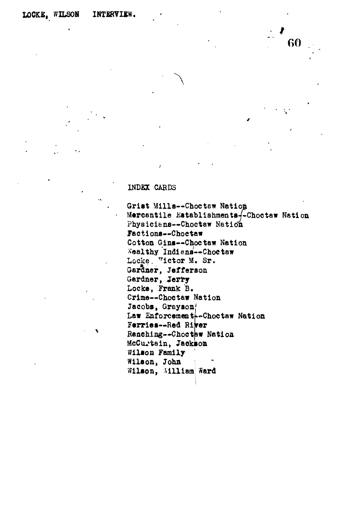## **INDKX CARDS**

**Grist Mills—Choc tew Nation Mercantile Establishmenta^-Choctaw Nation Physiciene—Choetaw Nation Feet ions—Choctaw Cotton Gins—Choc taw Nation Wealthy Indians—Choctaw** Locke. Victor M. Sr. **Gardner, Jefferson Gardner, Jerry Locke, Frank B. Crime—Choctaw Nation Jacobs, Greyaon** Law Enforcement<sup>--</sup>Choctaw Nation **Ferries—Red Rirer Ranching—Choctaw Nation McCu^tein, Jackson Wilson Family Wilson, John i** Wilson, William Ward

**GO**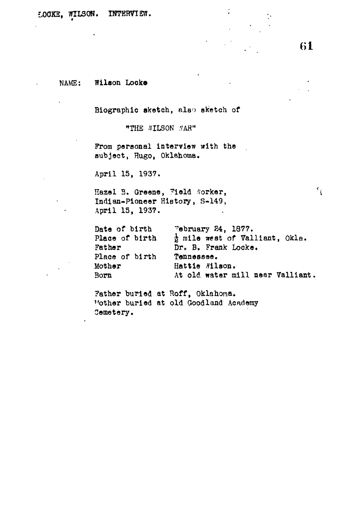NAME: Wilson Locke

**Biographic sketch, also sketch of**

**"THE tflLSON .VAR<sup>H</sup>**

**From personal interview with the subject, Hugo, Oklahoma.**

**April 15, 1937.**

Hazel B. Greene, Field Worker, **Indian-Pioneer History, S-149, April 15, 1937.**

| Date of birth  | Tebruary 24, 1877.                         |
|----------------|--------------------------------------------|
| Place of birth | $\frac{1}{2}$ mile west of Valliant, Okla. |
| Father         | Dr. B. Frank Locke.                        |
| Place of birth | Tennessee.                                 |
| Mother         | Hattie #ilson.                             |
| Born           | At old water mill near Valliant.           |

 $\ddot{\cdot}$ 

**Father buried at Hoff, Oklahoma. Mother buried at old Goodland Academy Cemetery.**

 $\mathfrak{e}_{\vec{\textbf{i}}}$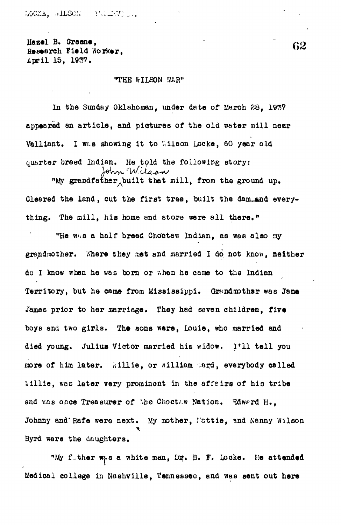LOCKE. •ILSON (WEITY) ...

 $B^2$  B. Groeno,  $62$ Research Field Worker. April 15, 1937.

## "THE WILSON WAR"

In the Sunday Oklahoman, under date of March 28, 1937 appeared an article, and pictures of the old water mill near Valliant. I was showing it to Wilson Locke, 60 year old quarter breed Indian. He told the following story:<br> $\begin{array}{c} \lambda_{\text{th}} \sim \mathcal{M} \sim \mathcal{M} \sim \mathcal{M} \sim \mathcal{M} \sim \mathcal{M} \sim \mathcal{M} \sim \mathcal{M} \sim \mathcal{M} \sim \mathcal{M} \sim \mathcal{M} \sim \mathcal{M} \sim \mathcal{M} \sim \mathcal{M} \sim \mathcal{M} \sim \mathcal{M} \sim \mathcal{M} \sim \mathcal{M} \sim \mathcal{M} \sim \mathcal{M} \sim$ 

"My grandfather built that mill, from the ground up. Cleared the land, cut the first tree , built the dam-and everything. The mill, his home and store were all there."

"He was a half breed Choctaw Indian, as was also my grandmother. Where they met and married I do not know, neither do I know when he was born or when he came to the Indian Territory, but he came from Mississippi. Grandmother was Jane James prior to her marriage. They had seven children, five boys and two girls. The sons were, Louie, who married and died young. Julius Victor married his widow. I'll tell you more of him later. Willie, or william Mard, everybody called Willie, was later very prominent in the affeirs of his tribe and was once Treasurer of the Choctaw Nation. Edward H.. Johnny and Rafe were next. My mother, Iattie, and Kanny Wilson Byrd were the daughters.

"My f.ther w<sub>r</sub>s a white man, Dr. B. F. Locke. He attended Medical college in Nashville, Tennessee, and was sent out hare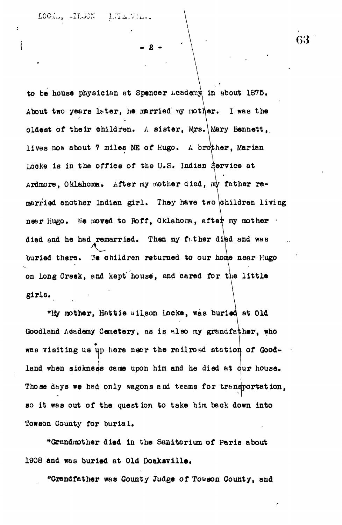LOCK., WILSON LUTENTILOR.

 $\overline{\mathbf{S}}$ 

**- 2 -**

**to be bouse physician at Spencer Academy in about 1875.** About two years later, he married my mother. I was the **oldest of their children. A sister, Mrs,\Mary Bennett,, lives now about 7 miles NE of Hugo. A brother, Marian Locke is in the office of the U.S. Indian service at** Ardmore, Oklahoma. After my mother died, my father re**married another Indian girl. They have two \children living** near Hugo. We moved to Roff, Oklahoma, after my mother  $\cdot$ **died and he had remarried. Then my fither diled and was** buried there. We children returned to our home near Hugo **on Long Creek, and kept' house, and cared for t\ie littl e girls.**

**"My toother, Hattie Wilson Locke, was buried at Old Goodland Academy Cemetery, as is also my grandfather, who** was visiting us up here near the railroad station of Goodland when sickness came upon him and he died at dur house. **Those dbys we had only wagons and teams for transportation, so it was out of the question to take him beck down into Towson County for burial.**

**"Grandmother died in the Sanitarium of Peris about 1908 and was buried at Old Doaksville.**

**"Grandfather was County Judge of Tow son County, and**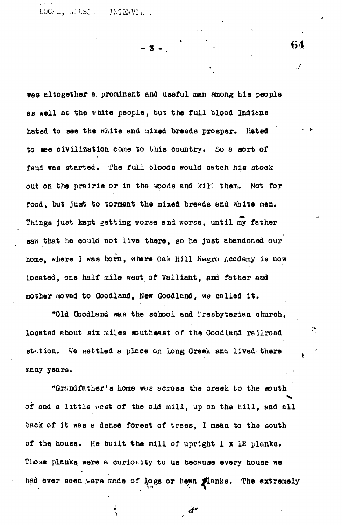LOCRE, AILSO . 1NTEAVIE .

**- s -**

was altogether a. prominent and useful man among his people as well as the white people, but the full blood Indians hated to see the white and mixed breeds prosper. Hated to see civilization come to this country. So a sort of feud was started. The full bloods would catch his stock out on the prairie or in the woods and kill them. Not for food, but just to torment the mixed breeds and white men. Things just kept getting worse and worse, until  $\widetilde{m}$  father saw that he could not live there, so he just abandoned our home, where I was born, where Oak Hill fiegro Academy is now located, one half mile west of Valliant, and father and mother moved to Goodland, New Goodland, we called it .

"Old Qoodland was the school and Presbyterian church, looated about six miles southeast of the Goodland railroad station. We settled a place on Long Creek and lived there many years.

"Grandfather's home wbs across the creek to the south of and a little west of the old mill, up on the hill, and all back of it was a dense forest of trees, I mean to the south of the house. He built the mill of upright 1 x 12 planks. Those planks were a curiosity to us because every house we had ever seen were made of logs or hewn Manks. The extremely

**•** *at\**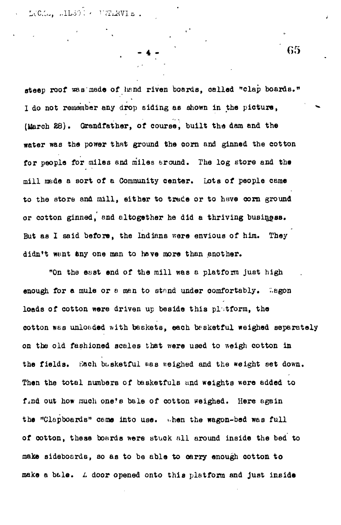LOCK., ALESOT & UNTERVIE.

steep roof was made of hand riven boards, called "clap boards." 1 do not remember any drop siding as shown in the picture, (March £8). Grandfather, of course, built the dam and the water was the power that ground the corn and ginned the cotton for people for miles and miles eround. The log store and the mill made a sort of a Community center. Lots of people came to the store and mill, either to trade or to have corn ground or cotton ginned, and altogether he did a thriving business. But as 1 said before, the Indians were envious of him. They didn't want any one man to have more than another.

"On the east end of the mill was a platform just high enough for a mule or a man to stand under comfortably. Wegon loads of cotton were driven up beside this platform, the cotton was unloaded with baskets, each basketful weighed separately on the old fashioned scales that were used to weigh cotton in the fields. Bach basketful was weighed and the weight set down. Then the total numbers of basketfuls and weights were added to find out how much one's bale of cotton weighed. Here again the "Clapboards" came into use. when the wagon-bed was full of cotton, these boards were stuck all around inside the bed to make sideboards, so as to be able to carry enough cotton to make a b&le. *L* door opened onto thia platform and just inside

**G5**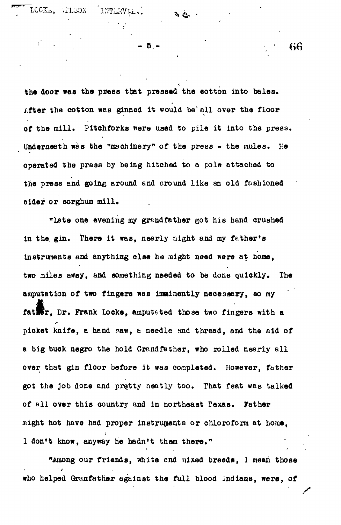LOCK\*, '.ILoOX

5 -

INTERVIE.

the door was the press that pressed the eotton into bales. **/.fter. the cotton was ginned it would be" all over the floor of the mill. Pitchforks were used to pile it into the press. Underneath was the "machinery" of the press - the nmles. He operated the press by being hitched to a pole attached to** the press and going around and around like an old fashioned **oider or sorghum mill.**

**"Late one evening my grandfather got his band crushed** in the gin. There it was, nearly night and my father's **instruments and anything else he might need were at home, two railes away, and something needed to be done quickly. The amputation of two fingers was imminently necesaery, so my fatler, Dr. Frank Locke, amputated those two fingers with a pioket knife, a hand paw,** *a* **needle nnd thread, and the aid of** a big buck negro the hold Grandfather, who rolled nearly all **over that gin floor before it was coapleted. However, father got the job done and pretty neatly too. That feat was talked of all over this country and in northeast Texas. Father might hot have had proper instruments or chloroform at home, 1 don't know, anyway he hadn't, them there."**

**"Among our friends, white end mixed breeds, 1 mean those who helped Grunfather ag&inst the full blood Indians, were, of**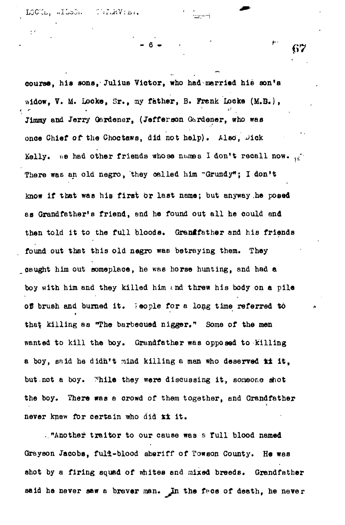$\sum_{i=1}^{n} \sum_{i=1}^{n} \sum_{i=1}^{n} \sum_{i=1}^{n} \sum_{i=1}^{n} \sum_{i=1}^{n} \sum_{i=1}^{n} \sum_{i=1}^{n} \sum_{i=1}^{n} \sum_{i=1}^{n} \sum_{i=1}^{n} \sum_{i=1}^{n} \sum_{i=1}^{n} \sum_{i=1}^{n} \sum_{i=1}^{n} \sum_{i=1}^{n} \sum_{i=1}^{n} \sum_{i=1}^{n} \sum_{i=1}^{n} \sum_{i=1}^{n} \sum_{i=1}^{n} \sum_{i=1}^{n}$ LOCUL, ALLOON

**course, his sons, Julius Victor, who had married hie son's widow, V. M. Jjocke, Sr., my father, B. Frenk Locke (M.B.), Jimmy and Jerry Gardener, (Jefferson Gardener, who was once Chief of the Choctaws, did not help). Also, Jick** Kelly.  $n \cdot e$  had other friends whose names I don't recall now.  $\frac{1}{2}$ There was an old negro, they called him "Grundy"; I don't **know if that was his first or last name; but anyway,he posed as Grandfather's friend, and he found out all he could and then told it to the full bloode. Grantfether and his friends found out that this old negro was betraying them. They caught him out someplace, he was horse hunting, and had a** boy with him and they killed him and threw his body on a pile **of brush and burned it. Teople for a long time referred to th&tl killing as "The barbecued nigger.<sup>n</sup> Some of the men wanted to kill the boy. Grandfather was opposed to killing a boy, said he didn't mind killing a man who deserved t± it,** but not a boy. While they were discussing it, someone shot **the boy. There was a crowd of them together, and Grandfather never knew for certain who did kt it.**

**."Another traitor to our cause was s full blood named Grayson Jacobs, full-blood sheriff of Towson County. He was shot by a firing squad of whites and mixed breeds. Grandfather said he never saw a brever man. In the fece of death, he never**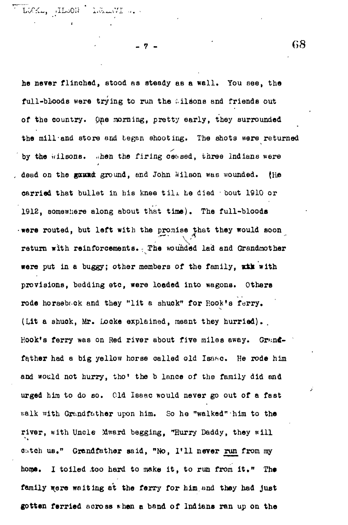**T • PS** \* j. 11,

**- 7 - G8**

he never flinched, stood as steady as a wall. You see, the full-bloods were trying to run the .ilsons and friends out of the country. Qne morning, pretty early, they surrounded the mill-and store and began shooting. The shots were returned by the wilsons. .hen the firing ceased, three Indians were dead on the gaund ground, and John Wilson was wounded. (He carried that bullet in his knee till he died • bout 1910 or 1912, somewhere along about that time). The full-bloods •were routed, but left with the promise that they would soon return with reinforcements. The wounded lad and Grandmother were put in a buggy; other members of the family, with provisions, bedding etc, were loaded into wagons. Others rode horseback and they "lit a shuck" for Rook's ferry. (Lit a shuck, Mr. Locke explained, meant they hurried). Hook's ferry was on Red river about five miles away. Grandfather had a big yellow horse called old Isaac. He rode him and would not hurry, tho' the b lance of the family did and urged him to do so. Old Isaac would never go out of a fast walk with Grandfather upon him. So he "walked" him to the river, with Uncle Mward begging, "Hurry Daddy, they will catch us." Grandfather said, "No, I'll never run from my home. I toiled too hard to make it, to run from it." The family were waiting at the ferry for him and they had just gotten ferried across \*hen a band of Indians ran up on the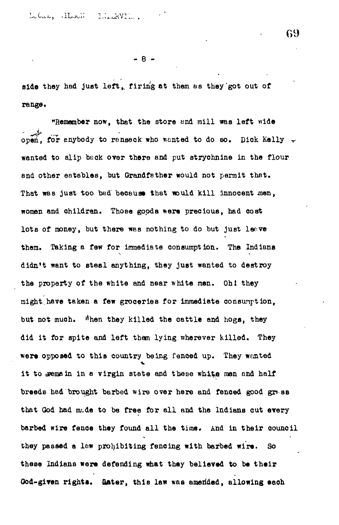Lotal, Hook Hinder.

**- 8 -**

**side they had just left,, firing at them as they'got out of range\***

**"Remember now, that the store and mill was left wide open, for anybody to ransack who wanted to do BO. Dick Kelly** *•+* **wanted to slip back over there and put strychnine in the flour and other eatables, but Grandfather would not permit that.** That was just too bad because that would kill innocent men, **women and child ran. Those goods were precious, had cost** lots of money, but there was nothing to do but just leave **them. Taking a few for immediate consumption. The Indiana didn't want to steal anything, they just wanted to destroy** the property of the white and near white men. Oh! they **might.have taken a few groceries for immediate consumption, but not much, ^hen they killed the cattle and hogs, they did it for spite and left them lying wherever killed. They were opposed to this country being fenced up. They wonted** it to remain in a virgin state and these white men and half breeds had brought barbed wire over here and fenced good grass that God had made to be free for all and the Indians cut every **barbed wire fenoe they found all the time. And in their council they passed a law prohibiting fencing with barbed wire. So these Indians were defending what they believed to be their** God-given rights. Gater, this law was amerided, allowing each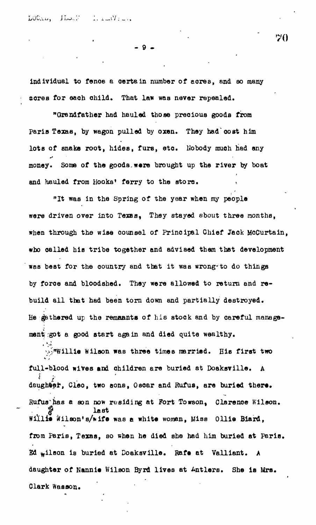LOCALL HISTNA  $\frac{1}{2}$  for  $\frac{1}{2}$ 

**- 9 •**

**individual to fence a certain number of acres, and so many sores for each child. That law was never repealed.**

**"Grandfather had hauled those precious goods from Paris Texas, by wagon pulled by oxen. They had'cost him** lots of snake root, hides, furs, etc. Hobody much had any **money. Some of the goods.were brought up the river by boat** and hauled from Hooks' ferry to the store.

**"It was in the Spring of the year when my people were driven over into Texas, They stayed about three months, when through the wise counsel of Principal Chief Jack McCurtain, who called his tribe together and advised them that development was best for the country and that it was wrong-to do things by foroe and bloodshed. They were allowed to return and rebuild all that had been torn down and partially destroyed. He fathered up the remnants of his stock and by careful management :got a good start again and died quite wealthy.**

**y.;"T«illie Wilson was three times married. His first two full-blood wives and children are buried at Doaksville. A** daughter, Cleo, two sons, Oscar and Rufus, are buried there. Rufus has a son now residing at Fort Towson. Clarence Wilson. **f**<br>**Willie** Wilson's/wife was a white woman, Miss Ollie Biard, from Paris, Texas, so when he died she had him buried at Paris. **Ed** wilson is buried at Doaksville. Rafe at Valliant. A daughter of Nannie Wilson Byrd lives at Antlers. She is Mrs. **daughter of Nannie Wilson Byrd lives at Antlers. She is Mrs.**

**Clark Wesson.**